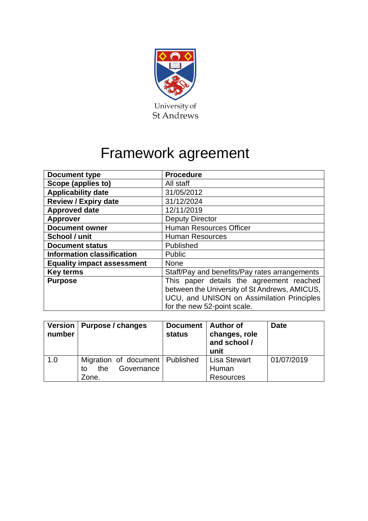

# Framework agreement

| <b>Document type</b>              | <b>Procedure</b>                                                                                                                                                       |  |  |
|-----------------------------------|------------------------------------------------------------------------------------------------------------------------------------------------------------------------|--|--|
| Scope (applies to)                | All staff                                                                                                                                                              |  |  |
| <b>Applicability date</b>         | 31/05/2012                                                                                                                                                             |  |  |
| <b>Review / Expiry date</b>       | 31/12/2024                                                                                                                                                             |  |  |
| <b>Approved date</b>              | 12/11/2019                                                                                                                                                             |  |  |
| <b>Approver</b>                   | <b>Deputy Director</b>                                                                                                                                                 |  |  |
| <b>Document owner</b>             | <b>Human Resources Officer</b>                                                                                                                                         |  |  |
| School / unit                     | <b>Human Resources</b>                                                                                                                                                 |  |  |
| <b>Document status</b>            | Published                                                                                                                                                              |  |  |
| <b>Information classification</b> | Public                                                                                                                                                                 |  |  |
| <b>Equality impact assessment</b> | <b>None</b>                                                                                                                                                            |  |  |
| <b>Key terms</b>                  | Staff/Pay and benefits/Pay rates arrangements                                                                                                                          |  |  |
| <b>Purpose</b>                    | This paper details the agreement reached<br>between the University of St Andrews, AMICUS,<br>UCU, and UNISON on Assimilation Principles<br>for the new 52-point scale. |  |  |

| number | Version   Purpose / changes       | Document   Author of<br><b>status</b> | changes, role<br>and school /<br>unit | <b>Date</b> |
|--------|-----------------------------------|---------------------------------------|---------------------------------------|-------------|
| 1.0    | Migration of document   Published |                                       | <b>Lisa Stewart</b>                   | 01/07/2019  |
|        | Governance<br>the<br>to           |                                       | Human                                 |             |
|        | Zone.                             |                                       | <b>Resources</b>                      |             |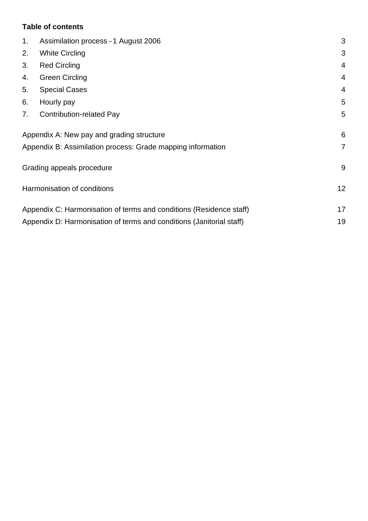# **Table of contents**

| 1 <sub>1</sub> | Assimilation process - 1 August 2006                                 | 3              |
|----------------|----------------------------------------------------------------------|----------------|
| 2.             | <b>White Circling</b>                                                | 3              |
| 3.             | <b>Red Circling</b>                                                  | 4              |
| 4.             | <b>Green Circling</b>                                                | $\overline{4}$ |
| 5.             | <b>Special Cases</b>                                                 | $\overline{4}$ |
| 6.             | Hourly pay                                                           | 5              |
| 7.             | <b>Contribution-related Pay</b>                                      | 5              |
|                | Appendix A: New pay and grading structure                            | 6              |
|                | Appendix B: Assimilation process: Grade mapping information          | $\overline{7}$ |
|                | Grading appeals procedure                                            | 9              |
|                | Harmonisation of conditions                                          | 12             |
|                | Appendix C: Harmonisation of terms and conditions (Residence staff)  | 17             |
|                | Appendix D: Harmonisation of terms and conditions (Janitorial staff) | 19             |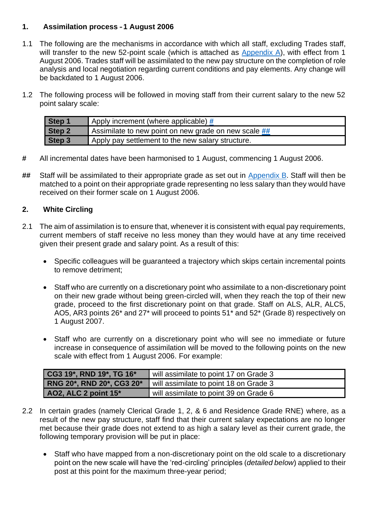# <span id="page-2-0"></span>**1. Assimilation process – 1 August 2006**

- 1.1 The following are the mechanisms in accordance with which all staff, excluding Trades staff, will transfer to the new 52-point scale (which is attached as [Appendix A\)](#page-5-0), with effect from 1 August 2006. Trades staff will be assimilated to the new pay structure on the completion of role analysis and local negotiation regarding current conditions and pay elements. Any change will be backdated to 1 August 2006.
- 1.2 The following process will be followed in moving staff from their current salary to the new 52 point salary scale:

| Step 1 | Apply increment (where applicable) $#$                            |
|--------|-------------------------------------------------------------------|
| Step 2 | Assimilate to new point on new grade on new scale $\frac{H H}{H}$ |
| Step 3 | Apply pay settlement to the new salary structure.                 |

- <span id="page-2-2"></span>**#** All incremental dates have been harmonised to 1 August, commencing 1 August 2006.
- <span id="page-2-3"></span>**##** Staff will be assimilated to their appropriate grade as set out in [Appendix B.](#page-6-0) Staff will then be matched to a point on their appropriate grade representing no less salary than they would have received on their former scale on 1 August 2006.

# <span id="page-2-1"></span>**2. White Circling**

- 2.1 The aim of assimilation is to ensure that, whenever it is consistent with equal pay requirements, current members of staff receive no less money than they would have at any time received given their present grade and salary point. As a result of this:
	- Specific colleagues will be guaranteed a trajectory which skips certain incremental points to remove detriment;
	- Staff who are currently on a discretionary point who assimilate to a non-discretionary point on their new grade without being green-circled will, when they reach the top of their new grade, proceed to the first discretionary point on that grade. Staff on ALS, ALR, ALC5, AO5, AR3 points 26\* and 27\* will proceed to points 51\* and 52\* (Grade 8) respectively on 1 August 2007.
	- Staff who are currently on a discretionary point who will see no immediate or future increase in consequence of assimilation will be moved to the following points on the new scale with effect from 1 August 2006. For example:

| $\,$ CG3 19*, RND 19*, TG 16*    | will assimilate to point 17 on Grade 3 |
|----------------------------------|----------------------------------------|
| <b>RNG 20*, RND 20*, CG3 20*</b> | will assimilate to point 18 on Grade 3 |
| AO2, ALC 2 point 15*             | will assimilate to point 39 on Grade 6 |

- 2.2 In certain grades (namely Clerical Grade 1, 2, & 6 and Residence Grade RNE) where, as a result of the new pay structure, staff find that their current salary expectations are no longer met because their grade does not extend to as high a salary level as their current grade, the following temporary provision will be put in place:
	- Staff who have mapped from a non-discretionary point on the old scale to a discretionary point on the new scale will have the 'red-circling' principles (*detailed below*) applied to their post at this point for the maximum three-year period;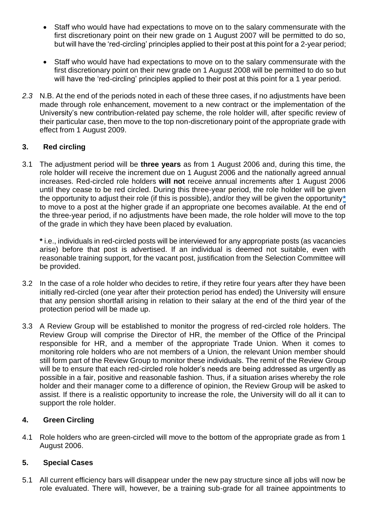- Staff who would have had expectations to move on to the salary commensurate with the first discretionary point on their new grade on 1 August 2007 will be permitted to do so, but will have the 'red-circling' principles applied to their post at this point for a 2-year period;
- Staff who would have had expectations to move on to the salary commensurate with the first discretionary point on their new grade on 1 August 2008 will be permitted to do so but will have the 'red-circling' principles applied to their post at this point for a 1 year period.
- *2.3* N.B. At the end of the periods noted in each of these three cases, if no adjustments have been made through role enhancement, movement to a new contract or the implementation of the University's new contribution-related pay scheme, the role holder will, after specific review of their particular case, then move to the top non-discretionary point of the appropriate grade with effect from 1 August 2009.

# <span id="page-3-0"></span>**3. Red circling**

3.1 The adjustment period will be **three years** as from 1 August 2006 and, during this time, the role holder will receive the increment due on 1 August 2006 and the nationally agreed annual increases. Red-circled role holders **will not** receive annual increments after 1 August 2006 until they cease to be red circled. During this three-year period, the role holder will be given the opportunity to adjust their role (if this is possible), and/or they will be given the opportunity**[\\*](#page-3-3)** to move to a post at the higher grade if an appropriate one becomes available. At the end of the three-year period, if no adjustments have been made, the role holder will move to the top of the grade in which they have been placed by evaluation.

<span id="page-3-3"></span>**\*** i.e., individuals in red-circled posts will be interviewed for any appropriate posts (as vacancies arise) before that post is advertised. If an individual is deemed not suitable, even with reasonable training support, for the vacant post, justification from the Selection Committee will be provided.

- 3.2 In the case of a role holder who decides to retire, if they retire four years after they have been initially red-circled (one year after their protection period has ended) the University will ensure that any pension shortfall arising in relation to their salary at the end of the third year of the protection period will be made up.
- 3.3 A Review Group will be established to monitor the progress of red-circled role holders. The Review Group will comprise the Director of HR, the member of the Office of the Principal responsible for HR, and a member of the appropriate Trade Union. When it comes to monitoring role holders who are not members of a Union, the relevant Union member should still form part of the Review Group to monitor these individuals. The remit of the Review Group will be to ensure that each red-circled role holder's needs are being addressed as urgently as possible in a fair, positive and reasonable fashion. Thus, if a situation arises whereby the role holder and their manager come to a difference of opinion, the Review Group will be asked to assist. If there is a realistic opportunity to increase the role, the University will do all it can to support the role holder.

# <span id="page-3-1"></span>**4. Green Circling**

4.1 Role holders who are green-circled will move to the bottom of the appropriate grade as from 1 August 2006.

# <span id="page-3-2"></span>**5. Special Cases**

5.1 All current efficiency bars will disappear under the new pay structure since all jobs will now be role evaluated. There will, however, be a training sub-grade for all trainee appointments to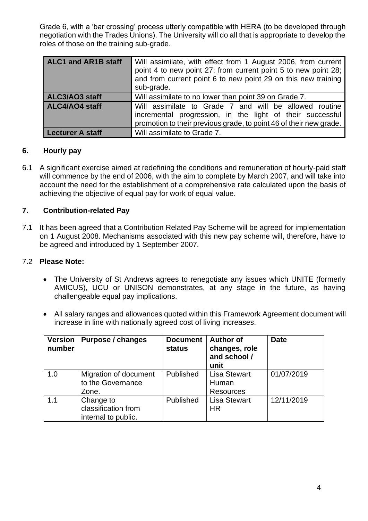Grade 6, with a 'bar crossing' process utterly compatible with HERA (to be developed through negotiation with the Trades Unions). The University will do all that is appropriate to develop the roles of those on the training sub-grade.

| <b>ALC1 and AR1B staff</b> | Will assimilate, with effect from 1 August 2006, from current<br>point 4 to new point 27; from current point 5 to new point 28;<br>and from current point 6 to new point 29 on this new training<br>sub-grade. |
|----------------------------|----------------------------------------------------------------------------------------------------------------------------------------------------------------------------------------------------------------|
| ALC3/AO3 staff             | Will assimilate to no lower than point 39 on Grade 7.                                                                                                                                                          |
| <b>ALC4/AO4 staff</b>      | Will assimilate to Grade 7 and will be allowed routine<br>incremental progression, in the light of their successful<br>promotion to their previous grade, to point 46 of their new grade.                      |
| <b>Lecturer A staff</b>    | Will assimilate to Grade 7.                                                                                                                                                                                    |

# <span id="page-4-0"></span>**6. Hourly pay**

6.1 A significant exercise aimed at redefining the conditions and remuneration of hourly-paid staff will commence by the end of 2006, with the aim to complete by March 2007, and will take into account the need for the establishment of a comprehensive rate calculated upon the basis of achieving the objective of equal pay for work of equal value.

# <span id="page-4-1"></span>**7. Contribution-related Pay**

7.1 It has been agreed that a Contribution Related Pay Scheme will be agreed for implementation on 1 August 2008. Mechanisms associated with this new pay scheme will, therefore, have to be agreed and introduced by 1 September 2007.

## 7.2 **Please Note:**

- The University of St Andrews agrees to renegotiate any issues which UNITE (formerly AMICUS), UCU or UNISON demonstrates, at any stage in the future, as having challengeable equal pay implications.
- All salary ranges and allowances quoted within this Framework Agreement document will increase in line with nationally agreed cost of living increases.

| <b>Version</b><br>number | <b>Purpose / changes</b>                                | <b>Document</b><br><b>status</b> | <b>Author of</b><br>changes, role<br>and school /<br>unit | <b>Date</b> |
|--------------------------|---------------------------------------------------------|----------------------------------|-----------------------------------------------------------|-------------|
| 1.0                      | Migration of document<br>to the Governance<br>Zone.     | Published                        | <b>Lisa Stewart</b><br>Human<br><b>Resources</b>          | 01/07/2019  |
| 1.1                      | Change to<br>classification from<br>internal to public. | Published                        | <b>Lisa Stewart</b><br>HR                                 | 12/11/2019  |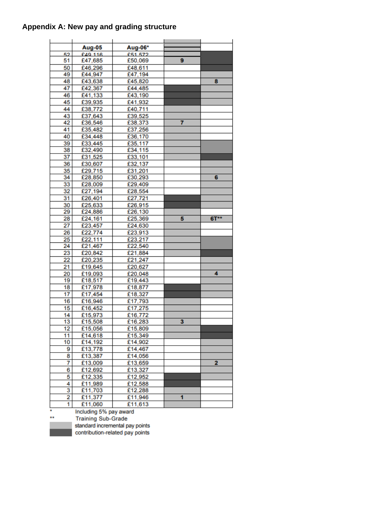# <span id="page-5-0"></span>**Appendix A: New pay and grading structure**

|                         | Aug-05                            | Aug-06* |   |        |
|-------------------------|-----------------------------------|---------|---|--------|
| 52<br>51                | £49.116                           | £51.572 | 9 |        |
|                         | £47,685                           | £50,069 |   |        |
| 50                      | £46,296                           | £48,611 |   |        |
| 49                      | £44,947                           | £47,194 |   |        |
| 48                      | £43,638                           | £45,820 |   | 8      |
| 47                      | £42,367                           | £44,485 |   |        |
| 46                      | £41,133                           | £43,190 |   |        |
| 45                      | £39,935                           | £41,932 |   |        |
| 44                      | £38,772                           | £40,711 |   |        |
| 43                      | £37,643                           | £39,525 |   |        |
| 42                      | £36,546                           | £38,373 | 7 |        |
| 41                      | £35,482                           | £37,256 |   |        |
| 40                      | £34,448                           | £36,170 |   |        |
| 39                      | £33,445                           | £35,117 |   |        |
| 38                      | £32,490                           | £34,115 |   |        |
| 37                      | £31,525                           | £33,101 |   |        |
| 36                      | £30,607                           | £32,137 |   |        |
| 35                      | £29,715                           | £31,201 |   |        |
| 34                      | £28,850                           | £30,293 |   | 6      |
| 33                      | £28,009                           | £29,409 |   |        |
| 32                      | £27,194                           | £28,554 |   |        |
| 31                      | £26,401                           | £27,721 |   |        |
| 30                      | £25,633                           | £26,915 |   |        |
| 29                      | £24,886                           | £26,130 |   |        |
| 28                      | £24,161                           | £25,369 | 5 | $6T**$ |
| 27                      | £23,457                           | £24,630 |   |        |
| 26                      | £22,774                           | £23,913 |   |        |
| 25                      | £22,111                           | £23,217 |   |        |
| 24                      | £21,467                           | £22,540 |   |        |
| 23                      | £20,842                           | £21,884 |   |        |
| 22                      | £20,235                           | £21,247 |   |        |
| 21                      | £19,645                           | £20,627 |   |        |
| 20                      | £19,093                           | £20,048 |   | 4      |
| 19                      | £18,517                           | £19,443 |   |        |
| 18                      | £17,978                           | £18,877 |   |        |
| 17                      | £17,454                           | £18,327 |   |        |
| 16                      | £16,946                           | £17,793 |   |        |
| 15                      | £16,452                           | £17,275 |   |        |
| 14                      | £15,973                           | £16,772 |   |        |
| 13                      | £15,508                           | £16,283 | 3 |        |
| 12 <sub>2</sub>         | £15,056                           | £15,809 |   |        |
| 11                      | £14,618                           | £15,349 |   |        |
| 10                      | £14,192                           | £14,902 |   |        |
| 9                       | £13,778                           | £14,467 |   |        |
| 8                       | £13,387                           | £14,056 |   |        |
| 7                       | £13,009                           | £13,659 |   | 2      |
| 6                       | £12,692                           | £13,327 |   |        |
| 5                       | £12,335                           | £12,952 |   |        |
| 4                       |                                   |         |   |        |
| 3                       | £11,989<br>£11,703                | £12,588 |   |        |
| $\overline{\mathbf{2}}$ |                                   | £12,288 | 1 |        |
| 1                       | £11,377                           | £11,946 |   |        |
|                         | £11,060<br>Including 5% nov oward | £11,613 |   |        |

Including 5% pay award<br>Training Sub-Grade<br>standard incremental pay points contribution-related pay points

 $\star\star$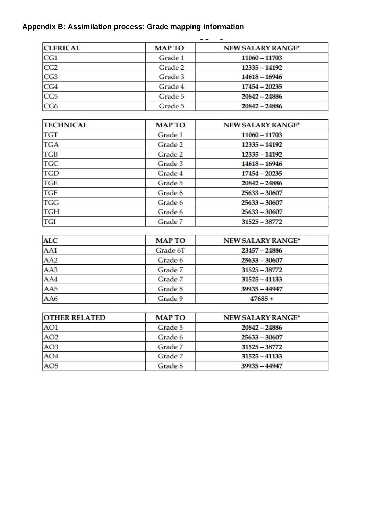# <span id="page-6-0"></span>**Appendix B: Assimilation process: Grade mapping information**

| <b>CLERICAL</b> | <b>MAP TO</b> | <b>NEW SALARY RANGE*</b> |
|-----------------|---------------|--------------------------|
| CG1             | Grade 1       | 11060 - 11703            |
| CG <sub>2</sub> | Grade 2       | $12335 - 14192$          |
| CG3             | Grade 3       | $14618 - 16946$          |
| CG4             | Grade 4       | $17454 - 20235$          |
| CG5             | Grade 5       | $20842 - 24886$          |
| CG6             | Grade 5       | $20842 - 24886$          |

| <b>TECHNICAL</b> | <b>MAP TO</b> | <b>NEW SALARY RANGE*</b> |
|------------------|---------------|--------------------------|
| <b>TGT</b>       | Grade 1       | 11060 - 11703            |
| <b>TGA</b>       | Grade 2       | 12335 - 14192            |
| <b>TGB</b>       | Grade 2       | 12335 - 14192            |
| <b>TGC</b>       | Grade 3       | $14618 - 16946$          |
| <b>TGD</b>       | Grade 4       | $17454 - 20235$          |
| <b>TGE</b>       | Grade 5       | $20842 - 24886$          |
| <b>TGF</b>       | Grade 6       | $25633 - 30607$          |
| <b>TGG</b>       | Grade 6       | $25633 - 30607$          |
| <b>TGH</b>       | Grade 6       | $25633 - 30607$          |
| <b>TGI</b>       | Grade 7       | $31525 - 38772$          |

| <b>ALC</b>      | <b>MAP TO</b> | <b>NEW SALARY RANGE*</b> |
|-----------------|---------------|--------------------------|
| AA1             | Grade 6T      | $23457 - 24886$          |
| AA <sub>2</sub> | Grade 6       | $25633 - 30607$          |
| AA3             | Grade 7       | $31525 - 38772$          |
| AA4             | Grade 7       | $31525 - 41133$          |
| AA5             | Grade 8       | 39935 - 44947            |
| AA6             | Grade 9       | $47685 +$                |

| <b>OTHER RELATED</b> | <b>MAP TO</b> | <b>NEW SALARY RANGE*</b> |
|----------------------|---------------|--------------------------|
| AO1                  | Grade 5       | $20842 - 24886$          |
| AO <sub>2</sub>      | Grade 6       | $25633 - 30607$          |
| AO <sub>3</sub>      | Grade 7       | 31525 - 38772            |
| AO <sub>4</sub>      | Grade 7       | $31525 - 41133$          |
| AO <sub>5</sub>      | Grade 8       | 39935 - 44947            |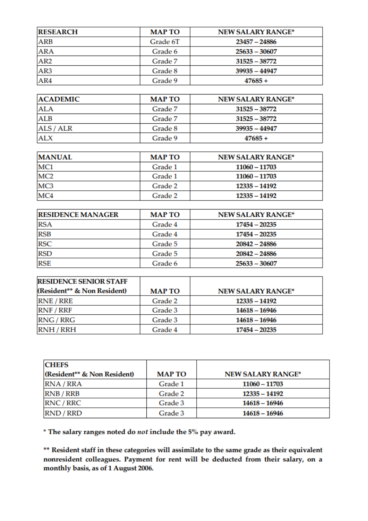| <b>RESEARCH</b> | <b>MAP TO</b> | <b>NEW SALARY RANGE*</b> |
|-----------------|---------------|--------------------------|
| <b>ARB</b>      | Grade 6T      | $23457 - 24886$          |
| <b>ARA</b>      | Grade 6       | $25633 - 30607$          |
| AR <sub>2</sub> | Grade 7       | $31525 - 38772$          |
| AR3             | Grade 8       | 39935 - 44947            |
| AR4             | Grade 9       | $47685 +$                |

| <b>ACADEMIC</b> | <b>MAP TO</b> | <b>NEW SALARY RANGE*</b> |
|-----------------|---------------|--------------------------|
| <b>ALA</b>      | Grade 7       | $31525 - 38772$          |
| <b>ALB</b>      | Grade 7       | $31525 - 38772$          |
| ALS / ALR       | Grade 8       | $39935 - 44947$          |
| <b>ALX</b>      | Grade 9       | $47685 +$                |

| <b>MANUAL</b>   | <b>MAP TO</b> | <b>NEW SALARY RANGE*</b> |
|-----------------|---------------|--------------------------|
| MC1             | Grade 1       | 11060 - 11703            |
| MC <sub>2</sub> | Grade 1       | 11060 - 11703            |
| MC <sub>3</sub> | Grade 2       | 12335 - 14192            |
| MC4             | Grade 2       | 12335 - 14192            |

| <b>RESIDENCE MANAGER</b> | <b>MAP TO</b> | <b>NEW SALARY RANGE*</b> |
|--------------------------|---------------|--------------------------|
| <b>RSA</b>               | Grade 4       | $17454 - 20235$          |
| <b>RSB</b>               | Grade 4       | $17454 - 20235$          |
| <b>RSC</b>               | Grade 5       | $20842 - 24886$          |
| <b>RSD</b>               | Grade 5       | $20842 - 24886$          |
| <b>RSE</b>               | Grade 6       | $25633 - 30607$          |

| <b>RESIDENCE SENIOR STAFF</b> |               |                          |
|-------------------------------|---------------|--------------------------|
| (Resident** & Non Resident)   | <b>MAP TO</b> | <b>NEW SALARY RANGE*</b> |
| <b>RNE / RRE</b>              | Grade 2       | 12335 - 14192            |
| RNF / RRF                     | Grade 3       | 14618 – 16946            |
| RNG / RRG                     | Grade 3       | 14618 – 16946            |
| <b>RNH/RRH</b>                | Grade 4       | 17454 - 20235            |

| <b>CHEFS</b>                |               |                          |
|-----------------------------|---------------|--------------------------|
| (Resident** & Non Resident) | <b>MAP TO</b> | <b>NEW SALARY RANGE*</b> |
| RNA / RRA                   | Grade 1       | 11060 - 11703            |
| <b>RNB / RRB</b>            | Grade 2       | 12335 - 14192            |
| RNC / RRC                   | Grade 3       | 14618 – 16946            |
| RND / RRD                   | Grade 3       | 14618 – 16946            |

 $*$  The salary ranges noted do *not* include the 5% pay award.

\*\* Resident staff in these categories will assimilate to the same grade as their equivalent nonresident colleagues. Payment for rent will be deducted from their salary, on a monthly basis, as of 1 August 2006.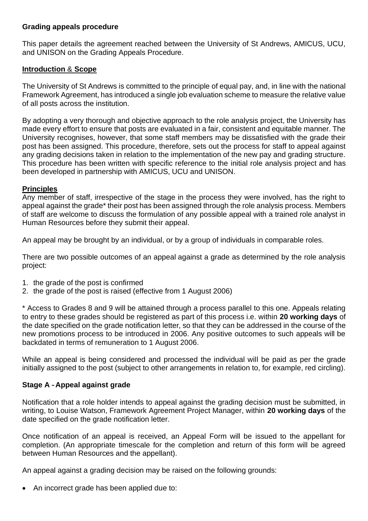# <span id="page-8-0"></span>**Grading appeals procedure**

This paper details the agreement reached between the University of St Andrews, AMICUS, UCU, and UNISON on the Grading Appeals Procedure.

# **Introduction** & **Scope**

The University of St Andrews is committed to the principle of equal pay, and, in line with the national Framework Agreement, has introduced a single job evaluation scheme to measure the relative value of all posts across the institution.

By adopting a very thorough and objective approach to the role analysis project, the University has made every effort to ensure that posts are evaluated in a fair, consistent and equitable manner. The University recognises, however, that some staff members may be dissatisfied with the grade their post has been assigned. This procedure, therefore, sets out the process for staff to appeal against any grading decisions taken in relation to the implementation of the new pay and grading structure. This procedure has been written with specific reference to the initial role analysis project and has been developed in partnership with AMICUS, UCU and UNISON.

# **Principles**

Any member of staff, irrespective of the stage in the process they were involved, has the right to appeal against the grade\* their post has been assigned through the role analysis process. Members of staff are welcome to discuss the formulation of any possible appeal with a trained role analyst in Human Resources before they submit their appeal.

An appeal may be brought by an individual, or by a group of individuals in comparable roles.

There are two possible outcomes of an appeal against a grade as determined by the role analysis project:

- 1. the grade of the post is confirmed
- 2. the grade of the post is raised (effective from 1 August 2006)

\* Access to Grades 8 and 9 will be attained through a process parallel to this one. Appeals relating to entry to these grades should be registered as part of this process i.e. within **20 working days** of the date specified on the grade notification letter, so that they can be addressed in the course of the new promotions process to be introduced in 2006. Any positive outcomes to such appeals will be backdated in terms of remuneration to 1 August 2006.

While an appeal is being considered and processed the individual will be paid as per the grade initially assigned to the post (subject to other arrangements in relation to, for example, red circling).

# **Stage A – Appeal against grade**

Notification that a role holder intends to appeal against the grading decision must be submitted, in writing, to Louise Watson, Framework Agreement Project Manager, within **20 working days** of the date specified on the grade notification letter.

Once notification of an appeal is received, an Appeal Form will be issued to the appellant for completion. (An appropriate timescale for the completion and return of this form will be agreed between Human Resources and the appellant).

An appeal against a grading decision may be raised on the following grounds:

• An incorrect grade has been applied due to: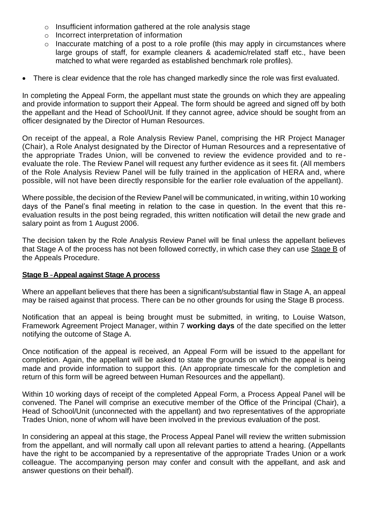- o Insufficient information gathered at the role analysis stage
- o Incorrect interpretation of information
- o Inaccurate matching of a post to a role profile (this may apply in circumstances where large groups of staff, for example cleaners & academic/related staff etc., have been matched to what were regarded as established benchmark role profiles).
- There is clear evidence that the role has changed markedly since the role was first evaluated.

In completing the Appeal Form, the appellant must state the grounds on which they are appealing and provide information to support their Appeal. The form should be agreed and signed off by both the appellant and the Head of School/Unit. If they cannot agree, advice should be sought from an officer designated by the Director of Human Resources.

On receipt of the appeal, a Role Analysis Review Panel, comprising the HR Project Manager (Chair), a Role Analyst designated by the Director of Human Resources and a representative of the appropriate Trades Union, will be convened to review the evidence provided and to reevaluate the role. The Review Panel will request any further evidence as it sees fit. (All members of the Role Analysis Review Panel will be fully trained in the application of HERA and, where possible, will not have been directly responsible for the earlier role evaluation of the appellant).

Where possible, the decision of the Review Panel will be communicated, in writing, within 10 working days of the Panel's final meeting in relation to the case in question. In the event that this reevaluation results in the post being regraded, this written notification will detail the new grade and salary point as from 1 August 2006.

The decision taken by the Role Analysis Review Panel will be final unless the appellant believes that Stage A of the process has not been followed correctly, in which case they can use Stage B of the Appeals Procedure.

## **Stage B** –**Appeal against Stage A process**

Where an appellant believes that there has been a significant/substantial flaw in Stage A, an appeal may be raised against that process. There can be no other grounds for using the Stage B process.

Notification that an appeal is being brought must be submitted, in writing, to Louise Watson, Framework Agreement Project Manager, within 7 **working days** of the date specified on the letter notifying the outcome of Stage A.

Once notification of the appeal is received, an Appeal Form will be issued to the appellant for completion. Again, the appellant will be asked to state the grounds on which the appeal is being made and provide information to support this. (An appropriate timescale for the completion and return of this form will be agreed between Human Resources and the appellant).

Within 10 working days of receipt of the completed Appeal Form, a Process Appeal Panel will be convened. The Panel will comprise an executive member of the Office of the Principal (Chair), a Head of School/Unit (unconnected with the appellant) and two representatives of the appropriate Trades Union, none of whom will have been involved in the previous evaluation of the post.

In considering an appeal at this stage, the Process Appeal Panel will review the written submission from the appellant, and will normally call upon all relevant parties to attend a hearing. (Appellants have the right to be accompanied by a representative of the appropriate Trades Union or a work colleague. The accompanying person may confer and consult with the appellant, and ask and answer questions on their behalf).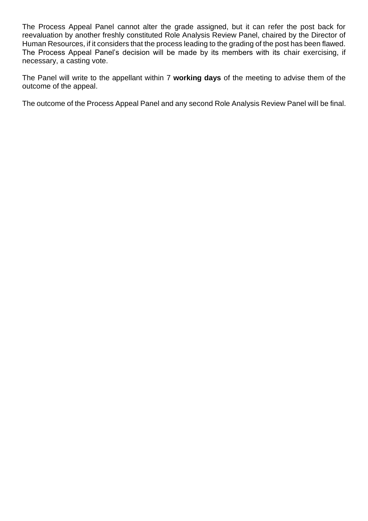The Process Appeal Panel cannot alter the grade assigned, but it can refer the post back for reevaluation by another freshly constituted Role Analysis Review Panel, chaired by the Director of Human Resources, if it considers that the process leading to the grading of the post has been flawed. The Process Appeal Panel's decision will be made by its members with its chair exercising, if necessary, a casting vote.

The Panel will write to the appellant within 7 **working days** of the meeting to advise them of the outcome of the appeal.

The outcome of the Process Appeal Panel and any second Role Analysis Review Panel will be final.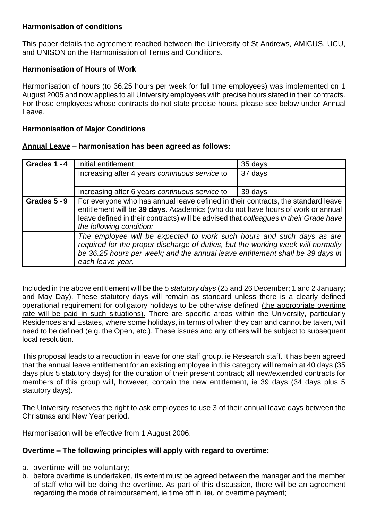# <span id="page-11-0"></span>**Harmonisation of conditions**

This paper details the agreement reached between the University of St Andrews, AMICUS, UCU, and UNISON on the Harmonisation of Terms and Conditions.

# **Harmonisation of Hours of Work**

Harmonisation of hours (to 36.25 hours per week for full time employees) was implemented on 1 August 2005 and now applies to all University employees with precise hours stated in their contracts. For those employees whose contracts do not state precise hours, please see below under Annual Leave.

# **Harmonisation of Major Conditions**

## **Annual Leave – harmonisation has been agreed as follows:**

| Grades 1-4 | Initial entitlement                                                                                                                                                                                                                                                                      | 35 days |
|------------|------------------------------------------------------------------------------------------------------------------------------------------------------------------------------------------------------------------------------------------------------------------------------------------|---------|
|            | Increasing after 4 years continuous service to                                                                                                                                                                                                                                           | 37 days |
|            | Increasing after 6 years continuous service to                                                                                                                                                                                                                                           | 39 days |
| Grades 5-9 | For everyone who has annual leave defined in their contracts, the standard leave<br>entitlement will be 39 days. Academics (who do not have hours of work or annual<br>leave defined in their contracts) will be advised that colleagues in their Grade have<br>the following condition: |         |
|            | The employee will be expected to work such hours and such days as are<br>required for the proper discharge of duties, but the working week will normally<br>be 36.25 hours per week; and the annual leave entitlement shall be 39 days in<br>each leave year.                            |         |

Included in the above entitlement will be the *5 statutory days* (25 and 26 December; 1 and 2 January; and May Day). These statutory days will remain as standard unless there is a clearly defined operational requirement for obligatory holidays to be otherwise defined (the appropriate overtime rate will be paid in such situations). There are specific areas within the University, particularly Residences and Estates, where some holidays, in terms of when they can and cannot be taken, will need to be defined (e.g. the Open, etc.). These issues and any others will be subject to subsequent local resolution.

This proposal leads to a reduction in leave for one staff group, ie Research staff. It has been agreed that the annual leave entitlement for an existing employee in this category will remain at 40 days (35 days plus 5 statutory days) for the duration of their present contract; all new/extended contracts for members of this group will, however, contain the new entitlement, ie 39 days (34 days plus 5 statutory days).

The University reserves the right to ask employees to use 3 of their annual leave days between the Christmas and New Year period.

Harmonisation will be effective from 1 August 2006.

## **Overtime – The following principles will apply with regard to overtime:**

- a. overtime will be voluntary;
- b. before overtime is undertaken, its extent must be agreed between the manager and the member of staff who will be doing the overtime. As part of this discussion, there will be an agreement regarding the mode of reimbursement, ie time off in lieu or overtime payment;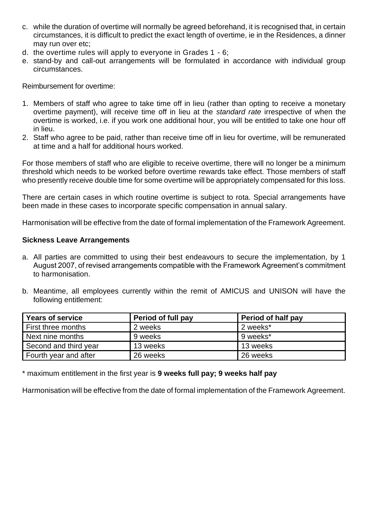- c. while the duration of overtime will normally be agreed beforehand, it is recognised that, in certain circumstances, it is difficult to predict the exact length of overtime, ie in the Residences, a dinner may run over etc;
- d. the overtime rules will apply to everyone in Grades 1 6;
- e. stand-by and call-out arrangements will be formulated in accordance with individual group circumstances.

Reimbursement for overtime:

- 1. Members of staff who agree to take time off in lieu (rather than opting to receive a monetary overtime payment), will receive time off in lieu at the *standard rate* irrespective of when the overtime is worked, i.e. if you work one additional hour, you will be entitled to take one hour off in lieu.
- 2. Staff who agree to be paid, rather than receive time off in lieu for overtime, will be remunerated at time and a half for additional hours worked.

For those members of staff who are eligible to receive overtime, there will no longer be a minimum threshold which needs to be worked before overtime rewards take effect. Those members of staff who presently receive double time for some overtime will be appropriately compensated for this loss.

There are certain cases in which routine overtime is subject to rota. Special arrangements have been made in these cases to incorporate specific compensation in annual salary.

Harmonisation will be effective from the date of formal implementation of the Framework Agreement.

## **Sickness Leave Arrangements**

- a. All parties are committed to using their best endeavours to secure the implementation, by 1 August 2007, of revised arrangements compatible with the Framework Agreement's commitment to harmonisation.
- b. Meantime, all employees currently within the remit of AMICUS and UNISON will have the following entitlement:

| <b>Years of service</b> | Period of full pay | Period of half pay |
|-------------------------|--------------------|--------------------|
| First three months      | 2 weeks            | 2 weeks*           |
| Next nine months        | 9 weeks            | 9 weeks*           |
| Second and third year   | 13 weeks           | 13 weeks           |
| Fourth year and after   | 26 weeks           | 26 weeks           |

\* maximum entitlement in the first year is **9 weeks full pay; 9 weeks half pay**

Harmonisation will be effective from the date of formal implementation of the Framework Agreement.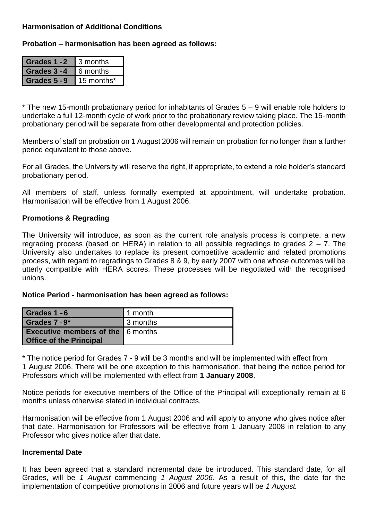# **Harmonisation of Additional Conditions**

**Probation – harmonisation has been agreed as follows:**

| Grades 1-2 | 3 months   |
|------------|------------|
| Grades 3-4 | 6 months   |
| Grades 5-9 | 15 months* |

\* The new 15-month probationary period for inhabitants of Grades 5 – 9 will enable role holders to undertake a full 12-month cycle of work prior to the probationary review taking place. The 15-month probationary period will be separate from other developmental and protection policies.

Members of staff on probation on 1 August 2006 will remain on probation for no longer than a further period equivalent to those above.

For all Grades, the University will reserve the right, if appropriate, to extend a role holder's standard probationary period.

All members of staff, unless formally exempted at appointment, will undertake probation. Harmonisation will be effective from 1 August 2006.

## **Promotions & Regrading**

The University will introduce, as soon as the current role analysis process is complete, a new regrading process (based on HERA) in relation to all possible regradings to grades  $2 - 7$ . The University also undertakes to replace its present competitive academic and related promotions process, with regard to regradings to Grades 8 & 9, by early 2007 with one whose outcomes will be utterly compatible with HERA scores. These processes will be negotiated with the recognised unions.

**Notice Period - harmonisation has been agreed as follows:**

| Grades 1 - 6                                                               | $\blacksquare$ 1 month |
|----------------------------------------------------------------------------|------------------------|
| Grades 7 - 9*                                                              | 13 months              |
| <b>Executive members of the 6 months</b><br><b>Office of the Principal</b> |                        |

\* The notice period for Grades 7 - 9 will be 3 months and will be implemented with effect from 1 August 2006. There will be one exception to this harmonisation, that being the notice period for Professors which will be implemented with effect from **1 January 2008**.

Notice periods for executive members of the Office of the Principal will exceptionally remain at 6 months unless otherwise stated in individual contracts.

Harmonisation will be effective from 1 August 2006 and will apply to anyone who gives notice after that date. Harmonisation for Professors will be effective from 1 January 2008 in relation to any Professor who gives notice after that date.

## **Incremental Date**

It has been agreed that a standard incremental date be introduced. This standard date, for all Grades, will be *1 August* commencing *1 August 2006*. As a result of this, the date for the implementation of competitive promotions in 2006 and future years will be *1 August.*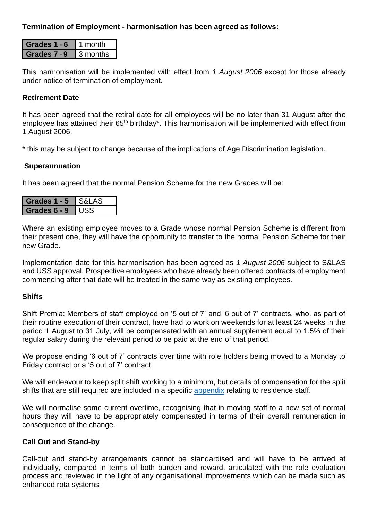# **Termination of Employment - harmonisation has been agreed as follows:**

| <b>1des 1 - 6</b> | month      |
|-------------------|------------|
| ndes 7            | ₫ 3 months |

This harmonisation will be implemented with effect from *1 August 2006* except for those already under notice of termination of employment.

## **Retirement Date**

It has been agreed that the retiral date for all employees will be no later than 31 August after the employee has attained their 65<sup>th</sup> birthday\*. This harmonisation will be implemented with effect from 1 August 2006.

\* this may be subject to change because of the implications of Age Discrimination legislation.

## **Superannuation**

It has been agreed that the normal Pension Scheme for the new Grades will be:

| des $1 - 5$ | $\sqrt{21}$ AS |
|-------------|----------------|
| les 6 - 9   | I I I Q        |

Where an existing employee moves to a Grade whose normal Pension Scheme is different from their present one, they will have the opportunity to transfer to the normal Pension Scheme for their new Grade.

Implementation date for this harmonisation has been agreed as *1 August 2006* subject to S&LAS and USS approval. Prospective employees who have already been offered contracts of employment commencing after that date will be treated in the same way as existing employees.

## **Shifts**

Shift Premia: Members of staff employed on '5 out of 7' and '6 out of 7' contracts, who, as part of their routine execution of their contract, have had to work on weekends for at least 24 weeks in the period 1 August to 31 July, will be compensated with an annual supplement equal to 1.5% of their regular salary during the relevant period to be paid at the end of that period.

We propose ending '6 out of 7' contracts over time with role holders being moved to a Monday to Friday contract or a '5 out of 7' contract.

We will endeavour to keep split shift working to a minimum, but details of compensation for the split shifts that are still required are included in a specific [appendix](#page-16-0) relating to residence staff.

We will normalise some current overtime, recognising that in moving staff to a new set of normal hours they will have to be appropriately compensated in terms of their overall remuneration in consequence of the change.

# **Call Out and Stand-by**

Call-out and stand-by arrangements cannot be standardised and will have to be arrived at individually, compared in terms of both burden and reward, articulated with the role evaluation process and reviewed in the light of any organisational improvements which can be made such as enhanced rota systems.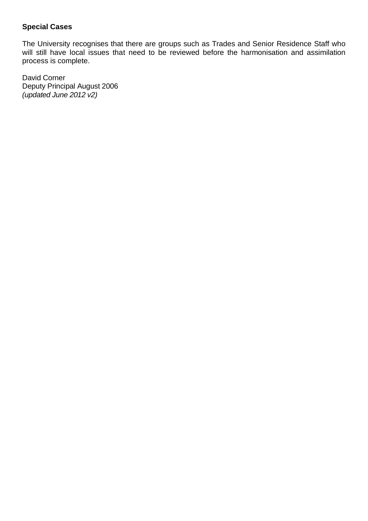# **Special Cases**

The University recognises that there are groups such as Trades and Senior Residence Staff who will still have local issues that need to be reviewed before the harmonisation and assimilation process is complete.

David Corner Deputy Principal August 2006 *(updated June 2012 v2)*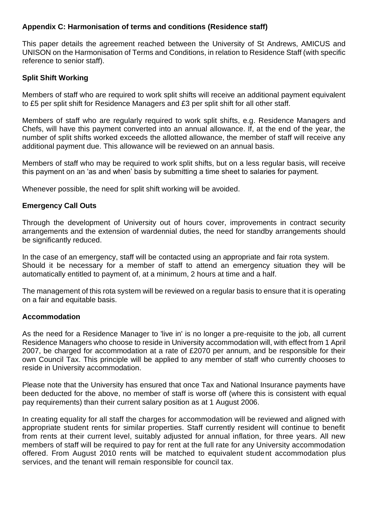# <span id="page-16-0"></span>**Appendix C: Harmonisation of terms and conditions (Residence staff)**

This paper details the agreement reached between the University of St Andrews, AMICUS and UNISON on the Harmonisation of Terms and Conditions, in relation to Residence Staff (with specific reference to senior staff).

# **Split Shift Working**

Members of staff who are required to work split shifts will receive an additional payment equivalent to £5 per split shift for Residence Managers and £3 per split shift for all other staff.

Members of staff who are regularly required to work split shifts, e.g. Residence Managers and Chefs, will have this payment converted into an annual allowance. If, at the end of the year, the number of split shifts worked exceeds the allotted allowance, the member of staff will receive any additional payment due. This allowance will be reviewed on an annual basis.

Members of staff who may be required to work split shifts, but on a less regular basis, will receive this payment on an 'as and when' basis by submitting a time sheet to salaries for payment.

Whenever possible, the need for split shift working will be avoided.

## **Emergency Call Outs**

Through the development of University out of hours cover, improvements in contract security arrangements and the extension of wardennial duties, the need for standby arrangements should be significantly reduced.

In the case of an emergency, staff will be contacted using an appropriate and fair rota system. Should it be necessary for a member of staff to attend an emergency situation they will be automatically entitled to payment of, at a minimum, 2 hours at time and a half.

The management of this rota system will be reviewed on a regular basis to ensure that it is operating on a fair and equitable basis.

## **Accommodation**

As the need for a Residence Manager to 'live in' is no longer a pre-requisite to the job, all current Residence Managers who choose to reside in University accommodation will, with effect from 1 April 2007, be charged for accommodation at a rate of £2070 per annum, and be responsible for their own Council Tax. This principle will be applied to any member of staff who currently chooses to reside in University accommodation.

Please note that the University has ensured that once Tax and National Insurance payments have been deducted for the above, no member of staff is worse off (where this is consistent with equal pay requirements) than their current salary position as at 1 August 2006.

In creating equality for all staff the charges for accommodation will be reviewed and aligned with appropriate student rents for similar properties. Staff currently resident will continue to benefit from rents at their current level, suitably adjusted for annual inflation, for three years. All new members of staff will be required to pay for rent at the full rate for any University accommodation offered. From August 2010 rents will be matched to equivalent student accommodation plus services, and the tenant will remain responsible for council tax.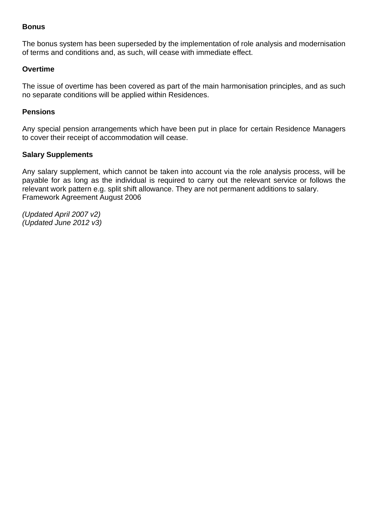#### **Bonus**

The bonus system has been superseded by the implementation of role analysis and modernisation of terms and conditions and, as such, will cease with immediate effect.

#### **Overtime**

The issue of overtime has been covered as part of the main harmonisation principles, and as such no separate conditions will be applied within Residences.

#### **Pensions**

Any special pension arrangements which have been put in place for certain Residence Managers to cover their receipt of accommodation will cease.

#### **Salary Supplements**

Any salary supplement, which cannot be taken into account via the role analysis process, will be payable for as long as the individual is required to carry out the relevant service or follows the relevant work pattern e.g. split shift allowance. They are not permanent additions to salary. Framework Agreement August 2006

*(Updated April 2007 v2) (Updated June 2012 v3)*